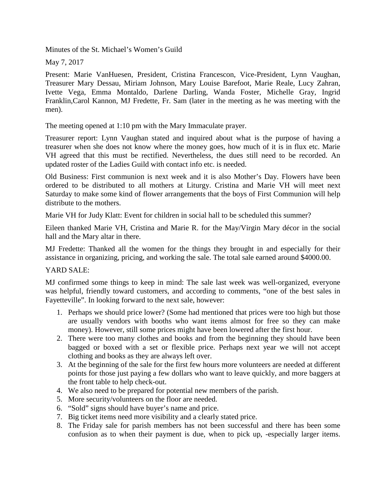Minutes of the St. Michael's Women's Guild

May 7, 2017

Present: Marie VanHuesen, President, Cristina Francescon, Vice-President, Lynn Vaughan, Treasurer Mary Dessau, Miriam Johnson, Mary Louise Barefoot, Marie Reale, Lucy Zahran, Ivette Vega, Emma Montaldo, Darlene Darling, Wanda Foster, Michelle Gray, Ingrid Franklin,Carol Kannon, MJ Fredette, Fr. Sam (later in the meeting as he was meeting with the men).

The meeting opened at 1:10 pm with the Mary Immaculate prayer.

Treasurer report: Lynn Vaughan stated and inquired about what is the purpose of having a treasurer when she does not know where the money goes, how much of it is in flux etc. Marie VH agreed that this must be rectified. Nevertheless, the dues still need to be recorded. An updated roster of the Ladies Guild with contact info etc. is needed.

Old Business: First communion is next week and it is also Mother's Day. Flowers have been ordered to be distributed to all mothers at Liturgy. Cristina and Marie VH will meet next Saturday to make some kind of flower arrangements that the boys of First Communion will help distribute to the mothers.

Marie VH for Judy Klatt: Event for children in social hall to be scheduled this summer?

Eileen thanked Marie VH, Cristina and Marie R. for the May/Virgin Mary décor in the social hall and the Mary altar in there.

MJ Fredette: Thanked all the women for the things they brought in and especially for their assistance in organizing, pricing, and working the sale. The total sale earned around \$4000.00.

## YARD SALE:

MJ confirmed some things to keep in mind: The sale last week was well-organized, everyone was helpful, friendly toward customers, and according to comments, "one of the best sales in Fayetteville". In looking forward to the next sale, however:

- 1. Perhaps we should price lower? (Some had mentioned that prices were too high but those are usually vendors with booths who want items almost for free so they can make money). However, still some prices might have been lowered after the first hour.
- 2. There were too many clothes and books and from the beginning they should have been bagged or boxed with a set or flexible price. Perhaps next year we will not accept clothing and books as they are always left over.
- 3. At the beginning of the sale for the first few hours more volunteers are needed at different points for those just paying a few dollars who want to leave quickly, and more baggers at the front table to help check-out.
- 4. We also need to be prepared for potential new members of the parish.
- 5. More security/volunteers on the floor are needed.
- 6. "Sold" signs should have buyer's name and price.
- 7. Big ticket items need more visibility and a clearly stated price.
- 8. The Friday sale for parish members has not been successful and there has been some confusion as to when their payment is due, when to pick up, -especially larger items.